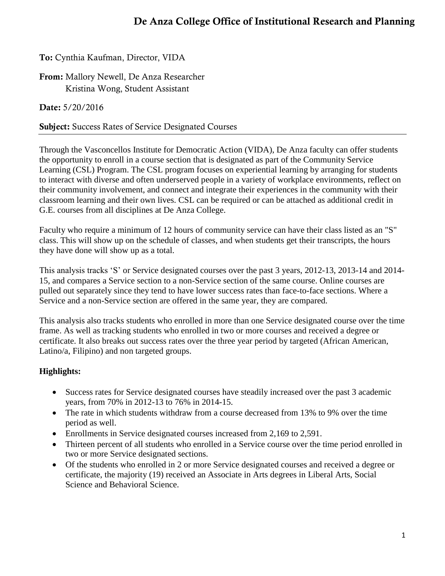# **De Anza College Office of Institutional Research and Planning**

**To:** Cynthia Kaufman, Director, VIDA

**From:** Mallory Newell, De Anza Researcher Kristina Wong, Student Assistant

**Date:** 5/20/2016

# **Subject:** Success Rates of Service Designated Courses

Through the Vasconcellos Institute for Democratic Action (VIDA), De Anza faculty can offer students the opportunity to enroll in a course section that is designated as part of the Community Service Learning (CSL) Program. The CSL program focuses on experiential learning by arranging for students to interact with diverse and often underserved people in a variety of workplace environments, reflect on their community involvement, and connect and integrate their experiences in the community with their classroom learning and their own lives. CSL can be required or can be attached as additional credit in G.E. courses from all disciplines at De Anza College.

Faculty who require a minimum of 12 hours of community service can have their class listed as an "S" class. This will show up on the schedule of classes, and when students get their transcripts, the hours they have done will show up as a total.

This analysis tracks 'S' or Service designated courses over the past 3 years, 2012-13, 2013-14 and 2014- 15, and compares a Service section to a non-Service section of the same course. Online courses are pulled out separately since they tend to have lower success rates than face-to-face sections. Where a Service and a non-Service section are offered in the same year, they are compared.

This analysis also tracks students who enrolled in more than one Service designated course over the time frame. As well as tracking students who enrolled in two or more courses and received a degree or certificate. It also breaks out success rates over the three year period by targeted (African American, Latino/a, Filipino) and non targeted groups.

# **Highlights:**

- Success rates for Service designated courses have steadily increased over the past 3 academic years, from 70% in 2012-13 to 76% in 2014-15.
- The rate in which students withdraw from a course decreased from 13% to 9% over the time period as well.
- Enrollments in Service designated courses increased from 2,169 to 2,591.
- Thirteen percent of all students who enrolled in a Service course over the time period enrolled in two or more Service designated sections.
- Of the students who enrolled in 2 or more Service designated courses and received a degree or certificate, the majority (19) received an Associate in Arts degrees in Liberal Arts, Social Science and Behavioral Science.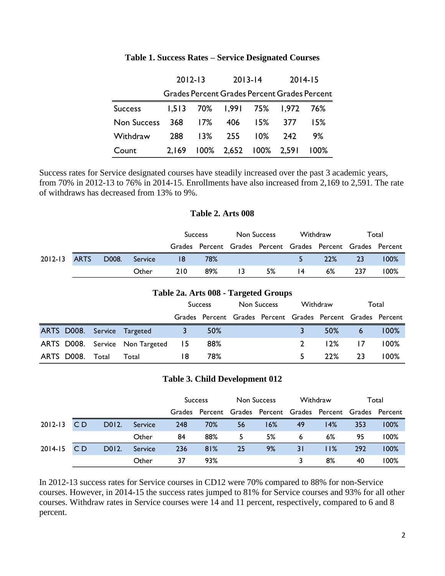|                    | $2012 - 13$ |     |                               | $2013 - 14$ | $2014 - 15$ |                                                     |  |
|--------------------|-------------|-----|-------------------------------|-------------|-------------|-----------------------------------------------------|--|
|                    |             |     |                               |             |             | <b>Grades Percent Grades Percent Grades Percent</b> |  |
| <b>Success</b>     |             |     | 1,513 70% 1,991 75% 1,972 76% |             |             |                                                     |  |
| <b>Non Success</b> |             |     | 368 17% 406 15%               |             | 377         | 15%                                                 |  |
| Withdraw           | 288         | 13% |                               | 255 10%     | 242         | 9%                                                  |  |
| Count              | 2.169       |     | 100% 2,652 100% 2,591         |             |             | $100\%$                                             |  |

### **Table 1. Success Rates – Service Designated Courses**

Success rates for Service designated courses have steadily increased over the past 3 academic years, from 70% in 2012-13 to 76% in 2014-15. Enrollments have also increased from 2,169 to 2,591. The rate of withdraws has decreased from 13% to 9%.

### **Table 2. Arts 008**

|              |       |         |      | <b>Success</b>                                              | Non Success |    | Withdraw          |     | Total           |         |
|--------------|-------|---------|------|-------------------------------------------------------------|-------------|----|-------------------|-----|-----------------|---------|
|              |       |         |      | Grades Percent Grades Percent Grades Percent Grades Percent |             |    |                   |     |                 |         |
| 2012-13 ARTS | D008. | Service | - 18 | 78%                                                         |             |    | $\sim$ 5 $\sim$ 7 | 22% | $\overline{23}$ | $100\%$ |
|              |       | Other   | 210  | 89%                                                         | $\vert$ 3   | 5% | $\vert 4 \vert$   | 6%  | - 237           | $100\%$ |

| Table 2a. Arts 008 - Targeted Groups |       |                                 |      |                |  |                                                             |  |          |    |         |  |
|--------------------------------------|-------|---------------------------------|------|----------------|--|-------------------------------------------------------------|--|----------|----|---------|--|
|                                      |       |                                 |      | <b>Success</b> |  | Non Success                                                 |  | Withdraw |    | Total   |  |
|                                      |       |                                 |      |                |  | Grades Percent Grades Percent Grades Percent Grades Percent |  |          |    |         |  |
|                                      |       | ARTS D008. Service Targeted     |      | 50%            |  |                                                             |  | $50\%$   | 6  | 100%    |  |
|                                      |       | ARTS D008. Service Non Targeted | - 15 | 88%            |  |                                                             |  | 12%      |    | $100\%$ |  |
| ARTS D008.                           | Total | Total                           | 18   | 78%            |  |                                                             |  | 22%      | 23 | $100\%$ |  |

### **Table 3. Child Development 012**

|             |     |       |         |     | <b>Success</b>                                              | Non Success |     | Withdraw |       | Total |      |
|-------------|-----|-------|---------|-----|-------------------------------------------------------------|-------------|-----|----------|-------|-------|------|
|             |     |       |         |     | Grades Percent Grades Percent Grades Percent Grades Percent |             |     |          |       |       |      |
| $2012 - 13$ | C D | D012. | Service | 248 | 70%                                                         | 56          | 16% | 49       | 14%   | 353   | 100% |
|             |     |       | Other   | 84  | 88%                                                         | 5.          | 5%  | 6        | $6\%$ | 95    | 100% |
| 2014-15     | C D | D012. | Service | 236 | 81%                                                         | 25          | 9%  | 3 I      | 11%   | 292   | 100% |
|             |     |       | Other   | 37  | 93%                                                         |             |     |          | 8%    | 40    | 100% |

In 2012-13 success rates for Service courses in CD12 were 70% compared to 88% for non-Service courses. However, in 2014-15 the success rates jumped to 81% for Service courses and 93% for all other courses. Withdraw rates in Service courses were 14 and 11 percent, respectively, compared to 6 and 8 percent.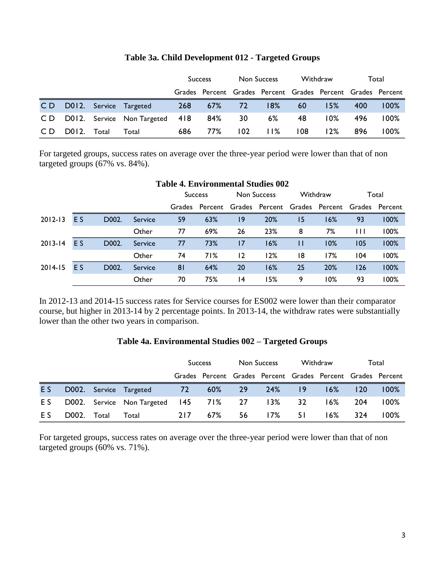|     |       |       |                                       | <b>Success</b> |         | Non Success      |                                                             | Withdraw |        | Total |         |
|-----|-------|-------|---------------------------------------|----------------|---------|------------------|-------------------------------------------------------------|----------|--------|-------|---------|
|     |       |       |                                       |                |         |                  | Grades Percent Grades Percent Grades Percent Grades Percent |          |        |       |         |
|     |       |       | CD D012. Service Targeted             |                | 268 67% | 727              | 18%                                                         | 60       | 15%    | 400   | $100\%$ |
|     |       |       | CD D012. Service Non-Targeted 418 84% |                |         | 30               | 6%                                                          | -48      | $10\%$ | 496   | 100%    |
| CD. | D012. | Total | Total                                 | 686            | 77%     | 102 <sub>1</sub> | 11%                                                         | 108      | 12%    | 896   | 100%    |

### **Table 3a. Child Development 012 - Targeted Groups**

For targeted groups, success rates on average over the three-year period were lower than that of non targeted groups (67% vs. 84%).

| $\ldots$ matrix $\ldots$ |     |       |         |                   |     |    |                                              |          |     |       |       |
|--------------------------|-----|-------|---------|-------------------|-----|----|----------------------------------------------|----------|-----|-------|-------|
|                          |     |       |         | <b>Success</b>    |     |    | <b>Non Success</b>                           | Withdraw |     | Total |       |
|                          |     |       |         | Percent<br>Grades |     |    | Grades Percent Grades Percent Grades Percent |          |     |       |       |
| $2012 - 13$              | E S | D002. | Service | 59                | 63% | 19 | 20%                                          | 15       | 16% | 93    | 100%  |
|                          |     |       | Other   | 77                | 69% | 26 | 23%                                          | 8        | 7%  | Ш     | 100%  |
| $2013 - 14$              | E S | D002. | Service | 77                | 73% | 17 | 16%                                          | П        | 10% | 105   | 100%  |
|                          |     |       | Other   | 74                | 71% | 12 | 12%                                          | 18       | 17% | 104   | 100%  |
| $2014 - 15$              | E S | D002. | Service | 8 <sup>1</sup>    | 64% | 20 | 16%                                          | 25       | 20% | 126   | 100%  |
|                          |     |       | Other   | 70                | 75% | 14 | 15%                                          | 9        | 10% | 93    | l 00% |

### **Table 4. Environmental Studies 002**

In 2012-13 and 2014-15 success rates for Service courses for ES002 were lower than their comparator course, but higher in 2013-14 by 2 percentage points. In 2013-14, the withdraw rates were substantially lower than the other two years in comparison.

### **Table 4a. Environmental Studies 002 – Targeted Groups**

|     |             |                                       | <b>Success</b> |        | Non Success |                                                             | Withdraw |        | Total |         |
|-----|-------------|---------------------------------------|----------------|--------|-------------|-------------------------------------------------------------|----------|--------|-------|---------|
|     |             |                                       |                |        |             | Grades Percent Grades Percent Grades Percent Grades Percent |          |        |       |         |
| ES. |             | D002. Service Targeted 72             |                | 60% 29 |             | 24%                                                         | 9        | $16\%$ | 120   | $100\%$ |
| E S |             | D002. Service Non-Targeted 145 71% 27 |                |        |             | 13%                                                         | -32      | $16\%$ | 204   | $100\%$ |
| E S | D002. Total | Total                                 | 217            | 67%    | 56          | l 7%                                                        | 51       | $16\%$ | 324   | $100\%$ |

For targeted groups, success rates on average over the three-year period were lower than that of non targeted groups (60% vs. 71%).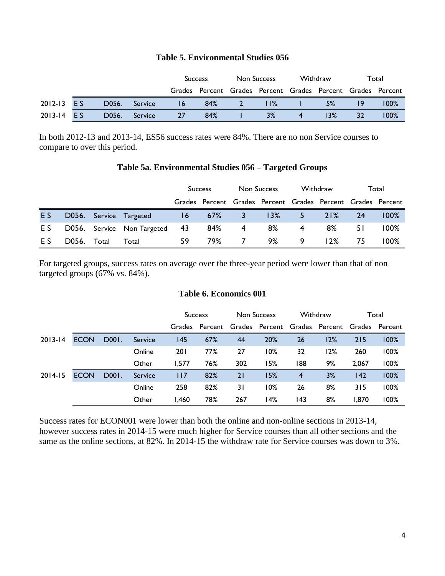### **Table 5. Environmental Studies 056**

|            |       |         |    | <b>Success</b>                                              | Non Success |     | Withdraw |     | Total |         |
|------------|-------|---------|----|-------------------------------------------------------------|-------------|-----|----------|-----|-------|---------|
|            |       |         |    | Grades Percent Grades Percent Grades Percent Grades Percent |             |     |          |     |       |         |
| 2012-13 ES | D056. | Service | 16 | 84%                                                         | 2           | 11% |          | 5%  |       | $100\%$ |
| 2013-14 ES | D056. | Service | 27 | 84%                                                         |             | 3%  |          | 13% | 32    | $100\%$ |

In both 2012-13 and 2013-14, ES56 success rates were 84%. There are no non Service courses to compare to over this period.

#### **Table 5a. Environmental Studies 056 – Targeted Groups**

|                |       |       |                               | <b>Success</b> |               | Non Success |                                                             | Withdraw |        | Total |         |
|----------------|-------|-------|-------------------------------|----------------|---------------|-------------|-------------------------------------------------------------|----------|--------|-------|---------|
|                |       |       |                               |                |               |             | Grades Percent Grades Percent Grades Percent Grades Percent |          |        |       |         |
| E <sub>S</sub> |       |       | D056. Service Targeted        |                | $16$ $67\%$ 3 |             | 13%                                                         | $5 -$    | 21%    | 24    | 100%    |
| E S            |       |       | D056. Service Non Targeted 43 |                | 84%           | -4          | 8%                                                          | -4       | 8%     | 5 I   | $100\%$ |
| E S            | D056. | Total | Total                         | 59             | 79%.          |             | 9%                                                          | 9        | $12\%$ | 75    | 100%    |

For targeted groups, success rates on average over the three-year period were lower than that of non targeted groups (67% vs. 84%).

### **Table 6. Economics 001**

|             |             |       |         |            | <b>Success</b> |     | Non Success                                                 |     | Withdraw |       | Total |
|-------------|-------------|-------|---------|------------|----------------|-----|-------------------------------------------------------------|-----|----------|-------|-------|
|             |             |       |         |            |                |     | Grades Percent Grades Percent Grades Percent Grades Percent |     |          |       |       |
| $2013 - 14$ | <b>ECON</b> | D001. | Service | 145        | 67%            | 44  | 20%                                                         | 26  | 12%      | 215   | 100%  |
|             |             |       | Online  | <b>201</b> | 77%            | 27  | 10%                                                         | 32  | 12%      | 260   | 100%  |
|             |             |       | Other   | 1.577      | 76%            | 302 | 15%                                                         | 188 | 9%       | 2.067 | 100%  |
| $2014 - 15$ | <b>ECON</b> | D001. | Service | 117        | 82%            | 21  | 15%                                                         | 4   | 3%       | 142   | 100%  |
|             |             |       | Online  | 258        | 82%            | 3 I | 10%                                                         | 26  | 8%       | 315   | 100%  |
|             |             |       | Other   | 1,460      | 78%            | 267 | l 4%                                                        | 143 | 8%       | 1,870 | 100%  |

Success rates for ECON001 were lower than both the online and non-online sections in 2013-14, however success rates in 2014-15 were much higher for Service courses than all other sections and the same as the online sections, at 82%. In 2014-15 the withdraw rate for Service courses was down to 3%.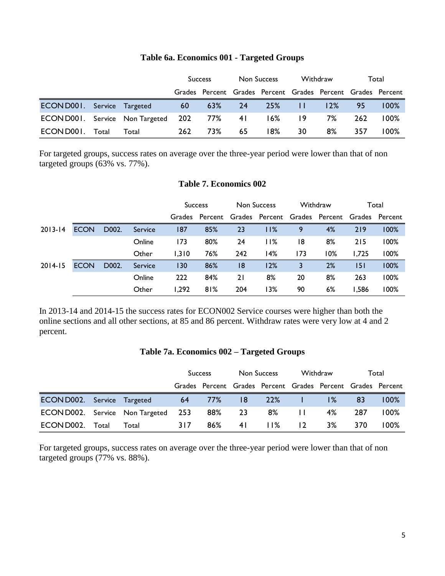|                                           |       |       |     | <b>Success</b> | Non Success |                                                             | Withdraw |     | Total |         |
|-------------------------------------------|-------|-------|-----|----------------|-------------|-------------------------------------------------------------|----------|-----|-------|---------|
|                                           |       |       |     |                |             | Grades Percent Grades Percent Grades Percent Grades Percent |          |     |       |         |
| <b>ECON D001.</b> Service Targeted        |       |       | 60  | 63% 24         |             | 25%                                                         | - 11     | 12% | 95    | $100\%$ |
| ECOND001. Service Non-Targeted 202 77% 41 |       |       |     |                |             | $16\%$ 19                                                   |          | 7%  | 262   | 100%    |
| ECON D001.                                | Total | Total | 262 | 73%            | 65          | 18% I                                                       | 30       | 8%  | 357   | 100%    |

# **Table 6a. Economics 001 - Targeted Groups**

For targeted groups, success rates on average over the three-year period were lower than that of non targeted groups (63% vs. 77%).

### **Table 7. Economics 002**

|             |             |       |         | <b>Success</b> |                | <b>Non Success</b> |                                              | Withdraw |     | Total |       |
|-------------|-------------|-------|---------|----------------|----------------|--------------------|----------------------------------------------|----------|-----|-------|-------|
|             |             |       |         |                | Grades Percent |                    | Grades Percent Grades Percent Grades Percent |          |     |       |       |
| $2013 - 14$ | <b>ECON</b> | D002. | Service | 187            | 85%            | 23                 | 11%                                          | 9        | 4%  | 219   | 100%  |
|             |             |       | Online  | 173            | 80%            | 24                 | 11%                                          | 18       | 8%  | 215   | l 00% |
|             |             |       | Other   | 1,310          | 76%            | 242                | 14%                                          | 173      | 10% | 1.725 | 100%  |
| $2014 - 15$ | <b>ECON</b> | D002. | Service | 130            | 86%            | 18                 | 12%                                          | 3        | 2%  | 151   | 100%  |
|             |             |       | Online  | 222            | 84%            | 21                 | 8%                                           | 20       | 8%  | 263   | l 00% |
|             |             |       | Other   | 1,292          | 81%            | 204                | 13%                                          | 90       | 6%  | 1,586 | 100%  |

In 2013-14 and 2014-15 the success rates for ECON002 Service courses were higher than both the online sections and all other sections, at 85 and 86 percent. Withdraw rates were very low at 4 and 2 percent.

### **Table 7a. Economics 002 – Targeted Groups**

|                                            |       |       | <b>Success</b> |        | Non Success |                                                             | Withdraw |       | Total |         |
|--------------------------------------------|-------|-------|----------------|--------|-------------|-------------------------------------------------------------|----------|-------|-------|---------|
|                                            |       |       |                |        |             | Grades Percent Grades Percent Grades Percent Grades Percent |          |       |       |         |
| <b>ECON D002.</b> Service Targeted         |       |       | 64             | $77\%$ | 8           | <b>22%</b>                                                  |          | $1\%$ | -83   | $100\%$ |
| <b>ECON D002.</b> Service Non Targeted 253 |       |       |                | 88%    | -23         | 8%                                                          | $\perp$  | 4%    | 287   | 100%    |
| ECON D002.                                 | Total | Total | 317            | 86%    | 4 I         | 11%                                                         | 12       | 3%    | 370   | 100%    |

For targeted groups, success rates on average over the three-year period were lower than that of non targeted groups (77% vs. 88%).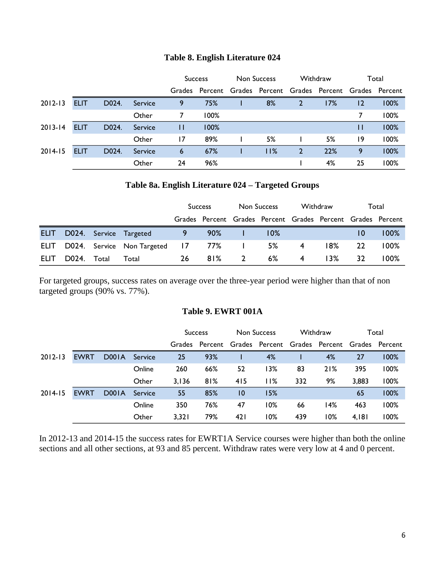|  |  | Table 8. English Literature 024 |  |
|--|--|---------------------------------|--|
|--|--|---------------------------------|--|

|             |             |       |         | Non Success<br><b>Success</b> |                | Withdraw       |              | Total                         |                |      |
|-------------|-------------|-------|---------|-------------------------------|----------------|----------------|--------------|-------------------------------|----------------|------|
|             |             |       |         |                               | Grades Percent | Grades Percent |              | Grades Percent Grades Percent |                |      |
| $2012 - 13$ | <b>ELIT</b> | D024. | Service | 9                             | 75%            | 8%             | $\mathbf{2}$ | 17%                           | $\overline{2}$ | 100% |
|             |             |       | Other   | 7                             | 100%           |                |              |                               | 7              | 100% |
| $2013 - 14$ | <b>ELIT</b> | D024. | Service | Ш                             | 100%           |                |              |                               | П              | 100% |
|             |             |       | Other   | 17                            | 89%            | 5%             |              | 5%                            | 19             | 100% |
| $2014 - 15$ | <b>ELIT</b> | D024. | Service | 6                             | 67%            | 11%            | $\mathbf{2}$ | 22%                           | 9              | 100% |
|             |             |       | Other   | 24                            | 96%            |                |              | 4%                            | 25             | 100% |

### **Table 8a. English Literature 024 – Targeted Groups**

|       |             |                                             | <b>Success</b>              |        | Non Success    |                                                             | Withdraw |        | Total |         |
|-------|-------------|---------------------------------------------|-----------------------------|--------|----------------|-------------------------------------------------------------|----------|--------|-------|---------|
|       |             |                                             |                             |        |                | Grades Percent Grades Percent Grades Percent Grades Percent |          |        |       |         |
|       |             | ELIT D024. Service Targeted                 | $\sim$ $\sim$ $\sim$ $\sim$ | $90\%$ |                | $10\%$                                                      |          |        | 10    | $100\%$ |
|       |             | ELIT D024. Service Non-Targeted 17 77% 1 5% |                             |        |                |                                                             | -4       | l 8% l | 22    | $100\%$ |
| ELIT. | D024. Total | Total                                       | 26                          | 81%    | $\overline{2}$ | 6%                                                          | 4        | 13%    | 32    | 100%    |

For targeted groups, success rates on average over the three-year period were higher than that of non targeted groups (90% vs. 77%).

### **Table 9. EWRT 001A**

|             |             |       |         | <b>Success</b> |                                                             | Non Success    |     | Withdraw |     | Total |      |
|-------------|-------------|-------|---------|----------------|-------------------------------------------------------------|----------------|-----|----------|-----|-------|------|
|             |             |       |         |                | Grades Percent Grades Percent Grades Percent Grades Percent |                |     |          |     |       |      |
| $2012 - 13$ | <b>EWRT</b> | D001A | Service | 25             | 93%                                                         |                | 4%  |          | 4%  | 27    | 100% |
|             |             |       | Online  | 260            | 66%                                                         | 52             | 13% | 83       | 21% | 395   | 100% |
|             |             |       | Other   | 3,136          | 81%                                                         | 415            | 11% | 332      | 9%  | 3,883 | 100% |
| $2014 - 15$ | <b>EWRT</b> | D001A | Service | 55             | 85%                                                         | $\overline{0}$ | 15% |          |     | 65    | 100% |
|             |             |       | Online  | 350            | 76%                                                         | 47             | 10% | 66       | 14% | 463   | 100% |
|             |             |       | Other   | 3,321          | 79%                                                         | 42 I           | 10% | 439      | 10% | 4,181 | 100% |

In 2012-13 and 2014-15 the success rates for EWRT1A Service courses were higher than both the online sections and all other sections, at 93 and 85 percent. Withdraw rates were very low at 4 and 0 percent.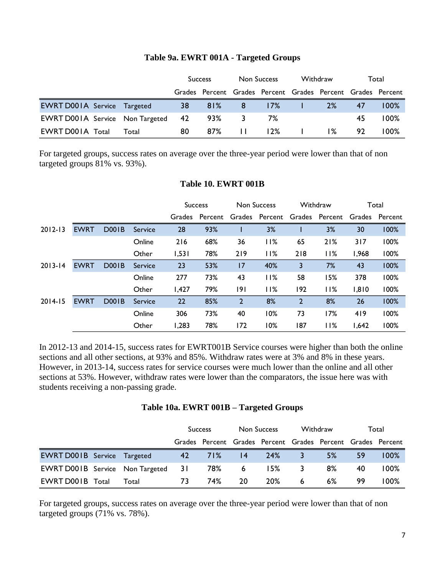### **Table 9a. EWRT 001A - Targeted Groups**

|                                           |       | <b>Success</b> |     | Non Success                |                                                             | Withdraw        |       | Total |         |
|-------------------------------------------|-------|----------------|-----|----------------------------|-------------------------------------------------------------|-----------------|-------|-------|---------|
|                                           |       |                |     |                            | Grades Percent Grades Percent Grades Percent Grades Percent |                 |       |       |         |
| <b>EWRT D001A Service Targeted</b>        |       | 38             | 81% | $\overline{\phantom{1}}$ 8 | $17\%$                                                      |                 | 2%    | 47    | $100\%$ |
| <b>EWRT D001A</b> Service Non Targeted 42 |       |                | 93% |                            | 7%                                                          |                 |       | 45    | $100\%$ |
| <b>EWRT D001A Total</b>                   | Total | 80             | 87% | $\Box$                     | 12%                                                         | and the company | $1\%$ | 92.   | 100%    |

For targeted groups, success rates on average over the three-year period were lower than that of non targeted groups 81% vs. 93%).

|             |             |              |         | Non Success<br><b>Success</b> |         | Withdraw       |                | Total          |                |        |         |
|-------------|-------------|--------------|---------|-------------------------------|---------|----------------|----------------|----------------|----------------|--------|---------|
|             |             |              |         | Grades                        | Percent |                | Grades Percent |                | Grades Percent | Grades | Percent |
| $2012 - 13$ | <b>EWRT</b> | <b>D001B</b> | Service | 28                            | 93%     |                | 3%             |                | 3%             | 30     | 100%    |
|             |             |              | Online  | 216                           | 68%     | 36             | 11%            | 65             | 21%            | 317    | 100%    |
|             |             |              | Other   | 1,531                         | 78%     | 219            | 11%            | 218            | 11%            | 1,968  | 100%    |
| $2013 - 14$ | <b>EWRT</b> | <b>D001B</b> | Service | 23                            | 53%     | 7              | 40%            | 3              | 7%             | 43     | 100%    |
|             |             |              | Online  | 277                           | 73%     | 43             | 11%            | 58             | 15%            | 378    | 100%    |
|             |             |              | Other   | 1,427                         | 79%     | 191            | 11%            | 192            | 11%            | 1,810  | 100%    |
| $2014 - 15$ | <b>EWRT</b> | <b>D001B</b> | Service | 22                            | 85%     | $\overline{2}$ | 8%             | $\overline{2}$ | 8%             | 26     | 100%    |
|             |             |              | Online  | 306                           | 73%     | 40             | 10%            | 73             | 17%            | 419    | 100%    |
|             |             |              | Other   | 1,283                         | 78%     | 172            | 10%            | 187            | 11%            | 1.642  | 100%    |

### **Table 10. EWRT 001B**

In 2012-13 and 2014-15, success rates for EWRT001B Service courses were higher than both the online sections and all other sections, at 93% and 85%. Withdraw rates were at 3% and 8% in these years. However, in 2013-14, success rates for service courses were much lower than the online and all other sections at 53%. However, withdraw rates were lower than the comparators, the issue here was with students receiving a non-passing grade.

|  |  |  |  | Table 10a. EWRT 001B - Targeted Groups |  |
|--|--|--|--|----------------------------------------|--|
|--|--|--|--|----------------------------------------|--|

|                                           |       | <b>Success</b> |     | Non Success |                                                             | Withdraw |    | Total |         |
|-------------------------------------------|-------|----------------|-----|-------------|-------------------------------------------------------------|----------|----|-------|---------|
|                                           |       |                |     |             | Grades Percent Grades Percent Grades Percent Grades Percent |          |    |       |         |
| <b>EWRT D001B</b> Service Targeted        |       | 42             | 71% | 4           | 24%                                                         | 3        | 5% | 59    | $100\%$ |
| <b>EWRT D001B</b> Service Non Targeted 31 |       |                | 78% | 6           | I 5%                                                        | 3        | 8% | 40    | 100%    |
| <b>EWRT D001B Total</b>                   | Total | 73             | 74% | 20          | 20%                                                         | 6        | 6% | 99    | 100%    |

For targeted groups, success rates on average over the three-year period were lower than that of non targeted groups (71% vs. 78%).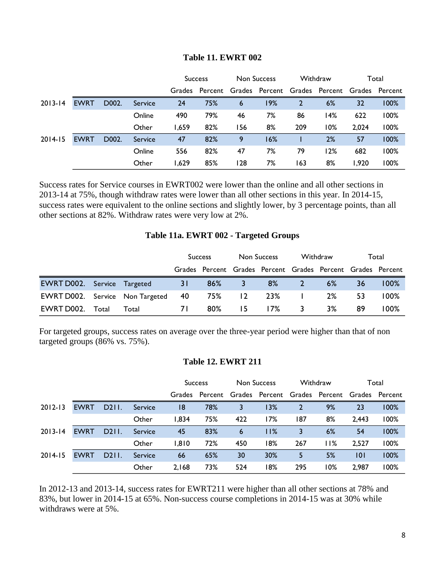|             |             |       |         | Non Success<br><b>Success</b> |         | Withdraw |                | Total |                               |       |       |
|-------------|-------------|-------|---------|-------------------------------|---------|----------|----------------|-------|-------------------------------|-------|-------|
|             |             |       |         | Grades                        | Percent |          | Grades Percent |       | Grades Percent Grades Percent |       |       |
| $2013 - 14$ | <b>EWRT</b> | D002. | Service | 24                            | 75%     | 6        | 19%            | 2     | 6%                            | 32    | 100%  |
|             |             |       | Online  | 490                           | 79%     | 46       | 7%             | 86    | 14%                           | 622   | l 00% |
|             |             |       | Other   | 1,659                         | 82%     | 156      | 8%             | 209   | 10%                           | 2.024 | l 00% |
| $2014 - 15$ | <b>EWRT</b> | D002. | Service | 47                            | 82%     | 9        | 16%            |       | 2%                            | 57    | 100%  |
|             |             |       | Online  | 556                           | 82%     | 47       | 7%             | 79    | 12%                           | 682   | l 00% |
|             |             |       | Other   | 1,629                         | 85%     | 128      | 7%             | 163   | 8%                            | 1,920 | l 00% |

### **Table 11. EWRT 002**

Success rates for Service courses in EWRT002 were lower than the online and all other sections in 2013-14 at 75%, though withdraw rates were lower than all other sections in this year. In 2014-15, success rates were equivalent to the online sections and slightly lower, by 3 percentage points, than all other sections at 82%. Withdraw rates were very low at 2%.

### **Table 11a. EWRT 002 - Targeted Groups**

|                                        |       |       | <b>Success</b> |        | Non Success |                                                             | Withdraw   |    | Total |         |
|----------------------------------------|-------|-------|----------------|--------|-------------|-------------------------------------------------------------|------------|----|-------|---------|
|                                        |       |       |                |        |             | Grades Percent Grades Percent Grades Percent Grades Percent |            |    |       |         |
| <b>EWRT D002.</b> Service Targeted     |       |       | 31             | 86%    | $-3$        | 8%                                                          | $\sqrt{2}$ | 6% | 36    | $100\%$ |
| <b>EWRT D002.</b> Service Non Targeted |       |       | 40             | 75%    | $12 \,$     | 23%                                                         |            | 2% | 53    | $100\%$ |
| EWRT D002.                             | Total | Total | 7 I            | $80\%$ | -15         | 17%                                                         | 3          | 3% | 89    | $100\%$ |

For targeted groups, success rates on average over the three-year period were higher than that of non targeted groups (86% vs. 75%).

# **Table 12. EWRT 211**

|             |             |       |         | <b>Success</b> |                | Non Success |                | Withdraw |                | Total  |         |
|-------------|-------------|-------|---------|----------------|----------------|-------------|----------------|----------|----------------|--------|---------|
|             |             |       |         |                | Grades Percent |             | Grades Percent |          | Grades Percent | Grades | Percent |
| $2012 - 13$ | <b>EWRT</b> | D211. | Service | 18             | 78%            | 3           | 13%            | 2        | 9%             | 23     | 100%    |
|             |             |       | Other   | 1,834          | 75%            | 422         | 17%            | 187      | 8%             | 2,443  | 100%    |
| $2013 - 14$ | <b>EWRT</b> | D211. | Service | 45             | 83%            | 6           | 11%            | 3        | 6%             | 54     | 100%    |
|             |             |       | Other   | 1,810          | 72%            | 450         | 18%            | 267      | 11%            | 2.527  | 100%    |
| $2014 - 15$ | <b>EWRT</b> | D211. | Service | 66             | 65%            | 30          | 30%            | 5        | 5%             | 0      | 100%    |
|             |             |       | Other   | 2,168          | 73%            | 524         | 18%            | 295      | 10%            | 2,987  | 100%    |

In 2012-13 and 2013-14, success rates for EWRT211 were higher than all other sections at 78% and 83%, but lower in 2014-15 at 65%. Non-success course completions in 2014-15 was at 30% while withdraws were at 5%.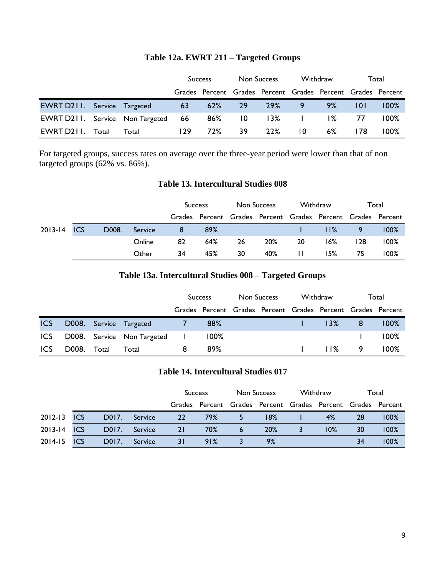|                                    |       |                                        | <b>Success</b> |        | Non Success |                                                             | Withdraw        |       | Total |         |
|------------------------------------|-------|----------------------------------------|----------------|--------|-------------|-------------------------------------------------------------|-----------------|-------|-------|---------|
|                                    |       |                                        |                |        |             | Grades Percent Grades Percent Grades Percent Grades Percent |                 |       |       |         |
| <b>EWRT D211.</b> Service Targeted |       |                                        | 63             | 62% 29 |             | 29%                                                         | 9               | 9%    | 10 I  | $100\%$ |
|                                    |       | <b>EWRT D211.</b> Service Non Targeted | -66            | 86% 10 |             | 13%                                                         | and the company | $1\%$ | 77    | $100\%$ |
| EWRT D211.                         | Total | Total                                  | 129            | 72%    | 39          | 22%                                                         | 10              | $6\%$ | 178   | 100%    |

# **Table 12a. EWRT 211 – Targeted Groups**

For targeted groups, success rates on average over the three-year period were lower than that of non targeted groups (62% vs. 86%).

### **Table 13. Intercultural Studies 008**

|             |       |         | <b>Success</b> |                                                             | Non Success |     | Withdraw |     | Total          |         |
|-------------|-------|---------|----------------|-------------------------------------------------------------|-------------|-----|----------|-----|----------------|---------|
|             |       |         |                | Grades Percent Grades Percent Grades Percent Grades Percent |             |     |          |     |                |         |
| 2013-14 ICS | D008. | Service | 8              | 89%                                                         |             |     |          | 11% | $\overline{9}$ | $100\%$ |
|             |       | Online  | 82             | 64%                                                         | 26          | 20% | 20       | 16% | 128            | $100\%$ |
|             |       | Other   | 34             | 45%                                                         | 30          | 40% | $\perp$  | 15% | 75             | $100\%$ |

# **Table 13a. Intercultural Studies 008 – Targeted Groups**

|            |       |       |                              | <b>Success</b> |         | Non Success |                                                             | Withdraw |          | Total |         |
|------------|-------|-------|------------------------------|----------------|---------|-------------|-------------------------------------------------------------|----------|----------|-------|---------|
|            |       |       |                              |                |         |             | Grades Percent Grades Percent Grades Percent Grades Percent |          |          |       |         |
| <b>ICS</b> |       |       | D008. Service Targeted       |                | 88%     |             |                                                             |          | $-13%$   | - 8   | $100\%$ |
| ICS        |       |       | D008. Service Non Targeted I |                | $100\%$ |             |                                                             |          |          |       | $100\%$ |
| <b>ICS</b> | D008. | Total | Total                        |                | 89%     |             |                                                             |          | $11\%$ 9 |       | $100\%$ |

### **Table 14. Intercultural Studies 017**

|             |            |       |         | <b>Success</b> |                                                             | Non Success |     | Withdraw |     | Total |      |
|-------------|------------|-------|---------|----------------|-------------------------------------------------------------|-------------|-----|----------|-----|-------|------|
|             |            |       |         |                | Grades Percent Grades Percent Grades Percent Grades Percent |             |     |          |     |       |      |
| $2012 - 13$ | <b>ICS</b> | D017. | Service | 22             | 79%                                                         |             | 18% |          | 4%  | 28    | 100% |
| $2013 - 14$ | <b>ICS</b> | D017. | Service | 21             | 70%                                                         | 6           | 20% |          | 10% | 30    | 100% |
| 2014-15     | <b>ICS</b> | D017. | Service |                | 91%                                                         |             | 9%  |          |     | 34    | 100% |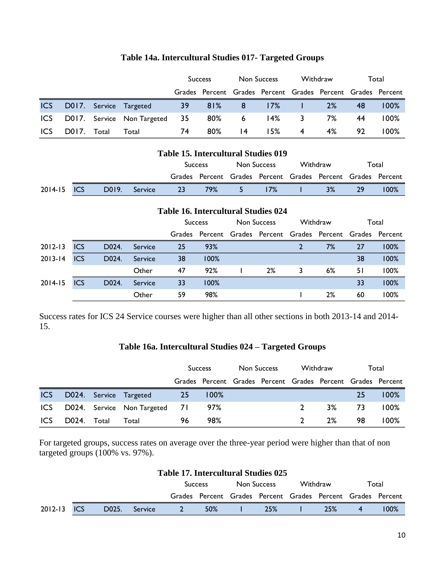|            |       |       |                                   | <b>Success</b> |        | Non Success     |                                                             | Withdraw |    | Total |         |
|------------|-------|-------|-----------------------------------|----------------|--------|-----------------|-------------------------------------------------------------|----------|----|-------|---------|
|            |       |       |                                   |                |        |                 | Grades Percent Grades Percent Grades Percent Grades Percent |          |    |       |         |
| <b>ICS</b> |       |       | D017. Service Targeted            | 39             |        | 81% 8 17%       |                                                             |          | 2% | 48    | $100\%$ |
|            |       |       | ICS D017. Service Non Targeted 35 |                |        | 80% 6           | l 4%                                                        | 3        | 7% | 44    | 100%    |
| <b>ICS</b> | D017. | Total | Total                             | 74             | $80\%$ | $\overline{14}$ | 15%                                                         | 4        | 4% | 92    | 100%    |

# **Table 14a. Intercultural Studies 017- Targeted Groups**

| <b>Table 15. Intercultural Studies 019</b> |  |                    |         |     |                |                                                                                        |     |  |       |     |         |
|--------------------------------------------|--|--------------------|---------|-----|----------------|----------------------------------------------------------------------------------------|-----|--|-------|-----|---------|
|                                            |  |                    |         |     | <b>Success</b> | Withdraw<br>Non Success<br>Grades Percent Grades Percent Grades Percent Grades Percent |     |  | Total |     |         |
|                                            |  |                    |         |     |                |                                                                                        |     |  |       |     |         |
| $2014 - 15$ ICS                            |  | D <sub>0</sub> 19. | Service | -23 | 79%            | 5.                                                                                     | 17% |  | 3%    | -29 | $100\%$ |
|                                            |  |                    |         |     |                |                                                                                        |     |  |       |     |         |

# **Table 16. Intercultural Studies 024**

|             |            |       |         |    | <b>Success</b>                                              | Non Success |    |   | Withdraw |    | Total |  |
|-------------|------------|-------|---------|----|-------------------------------------------------------------|-------------|----|---|----------|----|-------|--|
|             |            |       |         |    | Grades Percent Grades Percent Grades Percent Grades Percent |             |    |   |          |    |       |  |
| $2012 - 13$ | ICS        | D024. | Service | 25 | 93%                                                         |             |    |   | 7%       | 27 | 100%  |  |
| $2013 - 14$ | ICS        | D024. | Service | 38 | 100%                                                        |             |    |   |          | 38 | 100%  |  |
|             |            |       | Other   | 47 | 92%                                                         |             | 2% | 3 | 6%       | 51 | 100%  |  |
| $2014 - 15$ | <b>ICS</b> | D024. | Service | 33 | 100%                                                        |             |    |   |          | 33 | 100%  |  |
|             |            |       | Other   | 59 | 98%                                                         |             |    |   | 2%       | 60 | 100%  |  |

Success rates for ICS 24 Service courses were higher than all other sections in both 2013-14 and 2014- 15.

# **Table 16a. Intercultural Studies 024 – Targeted Groups**

|            |             |                                   | <b>Success</b> |         | Non Success |                                                             | Withdraw      |    | Total |         |
|------------|-------------|-----------------------------------|----------------|---------|-------------|-------------------------------------------------------------|---------------|----|-------|---------|
|            |             |                                   |                |         |             | Grades Percent Grades Percent Grades Percent Grades Percent |               |    |       |         |
| <b>ICS</b> |             | D024. Service Targeted            | -25            | $100\%$ |             |                                                             |               |    | 25    | $100\%$ |
|            |             | ICS D024. Service Non Targeted 71 |                | 97%     |             |                                                             |               | 3% | 73    | $100\%$ |
| <b>ICS</b> | D024. Total | Total                             | 96             | 98%     |             |                                                             | $\mathcal{D}$ | 2% | 98    | $100\%$ |

For targeted groups, success rates on average over the three-year period were higher than that of non targeted groups (100% vs. 97%).

|                 |                    |         | Table 17. Intercultural Studies 025 |                                                             |             |          |                |         |  |
|-----------------|--------------------|---------|-------------------------------------|-------------------------------------------------------------|-------------|----------|----------------|---------|--|
|                 |                    |         |                                     | <b>Success</b>                                              | Non Success | Withdraw | Total          |         |  |
|                 |                    |         |                                     | Grades Percent Grades Percent Grades Percent Grades Percent |             |          |                |         |  |
| $2012-13$ $ICS$ | D <sub>0</sub> 25. | Service | <sup>2</sup>                        | <b>50%</b>                                                  | <b>25%</b>  | 25%      | $\overline{4}$ | $100\%$ |  |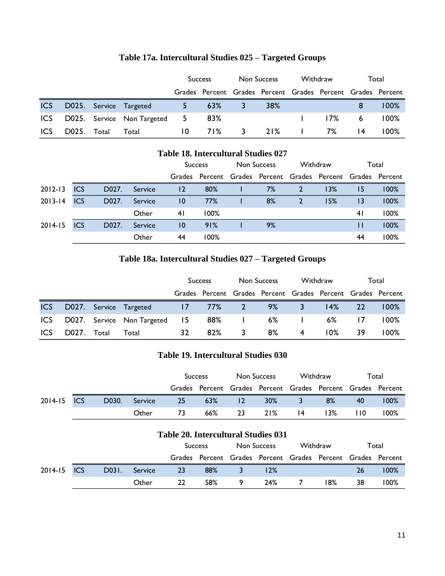|      |             |                                  | <b>Success</b> |     | Non Success |                                                             | Withdraw    |     | Total           |         |
|------|-------------|----------------------------------|----------------|-----|-------------|-------------------------------------------------------------|-------------|-----|-----------------|---------|
|      |             |                                  |                |     |             | Grades Percent Grades Percent Grades Percent Grades Percent |             |     |                 |         |
|      |             | ICS D025. Service Targeted       | $5 -$          | 63% |             | 38%                                                         |             |     | 8               | $100\%$ |
|      |             | ICS D025. Service Non Targeted 5 |                | 83% |             |                                                             |             | 17% | 6               | $100\%$ |
| ICS. | D025. Total | Total                            | 10.            |     | 71% 3       |                                                             | $21\%$ 1 7% |     | $\overline{14}$ | 100%    |

# **Table 17a. Intercultural Studies 025 – Targeted Groups**

| <b>Table 18. Intercultural Studies 027</b> |            |       |         |                 |      |             |    |                                                                  |     |                 |      |
|--------------------------------------------|------------|-------|---------|-----------------|------|-------------|----|------------------------------------------------------------------|-----|-----------------|------|
|                                            |            |       |         | <b>Success</b>  |      | Non Success |    | Withdraw                                                         |     | Total           |      |
|                                            |            |       |         |                 |      |             |    | Grades Percent Grades Percent Grades Percent Grades Percent<br>2 |     |                 |      |
| $2012 - 13$                                | ICS        | D027. | Service | 12              | 80%  |             | 7% |                                                                  | 13% | 15              | 100% |
| $2013 - 14$                                | <b>ICS</b> | D027. | Service | $\overline{10}$ | 77%  |             | 8% | $\overline{2}$                                                   | 15% | $\overline{13}$ | 100% |
|                                            |            |       | Other   | 41              | 100% |             |    |                                                                  |     | 4 <sub>1</sub>  | 100% |
| $2014 - 15$                                | <b>ICS</b> | D027. | Service | $\overline{10}$ | 91%  |             | 9% |                                                                  |     | Ш               | 100% |
|                                            |            |       | Other   | 44              | 100% |             |    |                                                                  |     | 44              | 100% |

# **Table 18a. Intercultural Studies 027 – Targeted Groups**

|            |       |       |                               | <b>Success</b> |     | Non Success  |                                                             | Withdraw |     | Total |         |
|------------|-------|-------|-------------------------------|----------------|-----|--------------|-------------------------------------------------------------|----------|-----|-------|---------|
|            |       |       |                               |                |     |              | Grades Percent Grades Percent Grades Percent Grades Percent |          |     |       |         |
| <b>ICS</b> |       |       | D027. Service Targeted        | 1777%          |     | $\sim$ 2     | 9%                                                          | 3        | 14% | 22    | 100%    |
| <b>ICS</b> |       |       | D027. Service Non Targeted 15 |                | 88% | $\mathbf{I}$ | 6%                                                          |          | 6%  | 17    | $100\%$ |
| <b>ICS</b> | D027. | Total | Total                         | 32             | 82% | 3            | 8%                                                          | 4        | 10% | 39    | $100\%$ |

# **Table 19. Intercultural Studies 030**

|             |       |         | <b>Success</b>                                              |     | Non Success     |        | Withdraw |     | Total |         |
|-------------|-------|---------|-------------------------------------------------------------|-----|-----------------|--------|----------|-----|-------|---------|
|             |       |         | Grades Percent Grades Percent Grades Percent Grades Percent |     |                 |        |          |     |       |         |
| 2014-15 ICS | D030. | Service | 25                                                          | 63% | $\overline{12}$ | $30\%$ | 3        | 8%  | 40    | 100%    |
|             |       | Other   | 73                                                          | 66% | -23             | 21%    | 14       | 13% | 110   | $100\%$ |

# **Table 20. Intercultural Studies 031**

|             |       |         | <b>Success</b> |                                                             | Non Success |     | Withdraw |     | Total |      |
|-------------|-------|---------|----------------|-------------------------------------------------------------|-------------|-----|----------|-----|-------|------|
|             |       |         |                | Grades Percent Grades Percent Grades Percent Grades Percent |             |     |          |     |       |      |
| 2014-15 ICS | D031. | Service | 23             | 88%                                                         |             | 12% |          |     | 26    | 100% |
|             |       | Other   | 22             | 58%                                                         |             | 24% |          | 18% | -38   | 100% |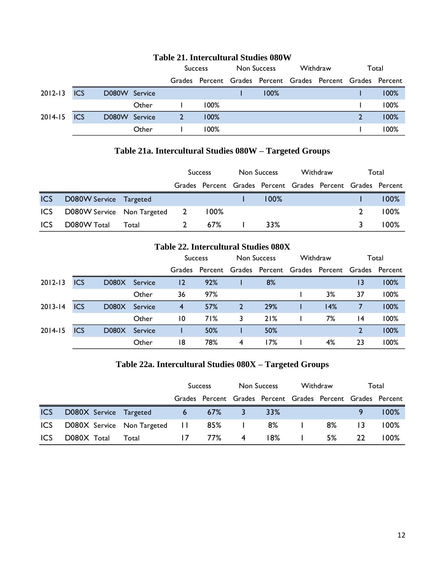|             | TWO TELL THREE CHILLEN DEMONDED A DO LI |               |       |                                                             |         |             |      |          |  |  |       |  |  |
|-------------|-----------------------------------------|---------------|-------|-------------------------------------------------------------|---------|-------------|------|----------|--|--|-------|--|--|
|             |                                         |               |       | <b>Success</b>                                              |         | Non Success |      | Withdraw |  |  | Total |  |  |
|             |                                         |               |       | Grades Percent Grades Percent Grades Percent Grades Percent |         |             |      |          |  |  |       |  |  |
| $2012 - 13$ | <b>ICS</b>                              | D080W Service |       |                                                             |         |             | 100% |          |  |  | 100%  |  |  |
|             |                                         |               | Other |                                                             | $100\%$ |             |      |          |  |  | 100%  |  |  |
| 2014-15     | <b>ICS</b>                              | D080W Service |       |                                                             | 100%    |             |      |          |  |  | 100%  |  |  |
|             |                                         |               | Other |                                                             | 100%    |             |      |          |  |  | 100%  |  |  |

# **Table 21. Intercultural Studies 080W**

# **Table 21a. Intercultural Studies 080W – Targeted Groups**

|            |                              |       | <b>Success</b>                                              |  | Non Success |         | Withdraw |  | Total |         |
|------------|------------------------------|-------|-------------------------------------------------------------|--|-------------|---------|----------|--|-------|---------|
|            |                              |       | Grades Percent Grades Percent Grades Percent Grades Percent |  |             |         |          |  |       |         |
| <b>ICS</b> | D080W Service Targeted       |       |                                                             |  |             | $100\%$ |          |  |       | $100\%$ |
| <b>ICS</b> | D080W Service Non Targeted 2 |       | $100\%$                                                     |  |             |         |          |  |       | $100\%$ |
| <b>ICS</b> | D080W Total                  | Total | 67%                                                         |  |             | 33%     |          |  |       | $100\%$ |

### **Table 22. Intercultural Studies 080X**

|             |            |       |         | <b>Success</b> |                                                             | <b>Non Success</b> |     | Withdraw |     | Total |      |
|-------------|------------|-------|---------|----------------|-------------------------------------------------------------|--------------------|-----|----------|-----|-------|------|
|             |            |       |         |                | Grades Percent Grades Percent Grades Percent Grades Percent |                    |     |          |     |       |      |
| $2012 - 13$ | <b>ICS</b> | D080X | Service | $\overline{2}$ | 92%                                                         |                    | 8%  |          |     | 13    | 100% |
|             |            |       | Other   | 36             | 97%                                                         |                    |     |          | 3%  | 37    | 100% |
| $2013 - 14$ | <b>ICS</b> | D080X | Service | $\overline{4}$ | 57%                                                         | 2                  | 29% |          | 14% |       | 100% |
|             |            |       | Other   | 10             | 71%                                                         | 3                  | 21% |          | 7%  | 14    | 100% |
| $2014 - 15$ | <b>ICS</b> | D080X | Service |                | 50%                                                         |                    | 50% |          |     | 2     | 100% |
|             |            |       | Other   | 18             | 78%                                                         | 4                  | 17% |          | 4%  | 23    | 100% |

# **Table 22a. Intercultural Studies 080X – Targeted Groups**

|            |                               |       | <b>Success</b> |     | Non Success |                                                             | Withdraw |    | Total |         |
|------------|-------------------------------|-------|----------------|-----|-------------|-------------------------------------------------------------|----------|----|-------|---------|
|            |                               |       |                |     |             | Grades Percent Grades Percent Grades Percent Grades Percent |          |    |       |         |
| <b>ICS</b> | D080X Service Targeted        |       | $6 -$          | 67% |             | 33%                                                         |          |    |       | $100\%$ |
| <b>ICS</b> | D080X Service Non Targeted 11 |       |                | 85% |             | 8%                                                          |          | 8% | 13    | $100\%$ |
| <b>ICS</b> | D080X Total                   | Total | 17             | 77% | 4           | 18%                                                         |          | 5% | -22   | 100%    |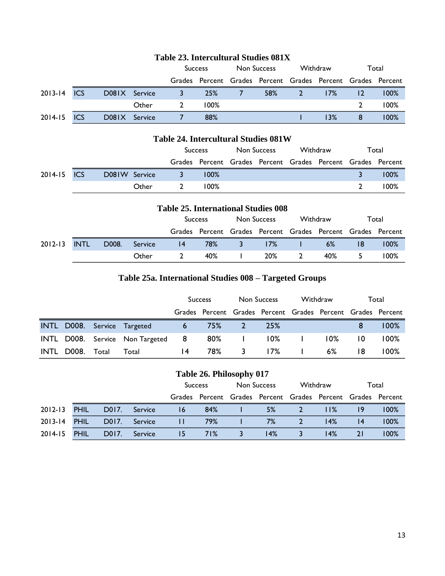|             |            |               |       | <b>Success</b>                                              |         | Non Success |     | Withdraw |     | Total   |         |
|-------------|------------|---------------|-------|-------------------------------------------------------------|---------|-------------|-----|----------|-----|---------|---------|
|             |            |               |       | Grades Percent Grades Percent Grades Percent Grades Percent |         |             |     |          |     |         |         |
| 2013-14 ICS |            | D081X Service |       | <u>3.</u>                                                   | 25%     |             | 58% | 2        | 17% | $12 \,$ | $100\%$ |
|             |            |               | Other |                                                             | $100\%$ |             |     |          |     |         | 100%    |
| 2014-15     | <b>ICS</b> | D081X Service |       |                                                             | 88%     |             |     |          | 13% |         | $100\%$ |

# **Table 23. Intercultural Studies 081X**

# **Table 24. Intercultural Studies 081W**

|             |               | <b>Success</b>                                              |         | Non Success |  | Withdraw |  | Total |         |
|-------------|---------------|-------------------------------------------------------------|---------|-------------|--|----------|--|-------|---------|
|             |               | Grades Percent Grades Percent Grades Percent Grades Percent |         |             |  |          |  |       |         |
| 2014-15 ICS | D081W Service | $\sim$ 3 $\sim$                                             | $100\%$ |             |  |          |  |       | $100\%$ |
|             | Other         | $100\%$<br>$\overline{2}$                                   |         |             |  |          |  |       | 100%    |

# **Table 25. International Studies 008**

|         |             |       |         | <b>Success</b> |                                                             | Non Success  |     | Withdraw |       | Total |         |
|---------|-------------|-------|---------|----------------|-------------------------------------------------------------|--------------|-----|----------|-------|-------|---------|
|         |             |       |         |                | Grades Percent Grades Percent Grades Percent Grades Percent |              |     |          |       |       |         |
| 2012-13 | <b>INTL</b> | D008. | Service | 4              | 78%                                                         | 3            | 17% |          | $6\%$ | -18   | $100\%$ |
|         |             |       | Other   | 40%            |                                                             | $\mathbf{I}$ | 20% | - 2      | 40%   | -5.   | $100\%$ |

# **Table 25a. International Studies 008 – Targeted Groups**

|      |             |                                   | <b>Success</b> |     | Non Success |                                                             | Withdraw |        | Total |         |
|------|-------------|-----------------------------------|----------------|-----|-------------|-------------------------------------------------------------|----------|--------|-------|---------|
|      |             |                                   |                |     |             | Grades Percent Grades Percent Grades Percent Grades Percent |          |        |       |         |
|      |             | INTL D008. Service Targeted       | $6 -$          | 75% | -27         | <b>25%</b>                                                  |          |        | 8     | $100\%$ |
|      |             | INTL D008. Service Non Targeted 8 |                |     |             | 80%   10%                                                   |          | $10\%$ | 10    | $100\%$ |
| INTL | D008. Total | Total                             | 14             | 78% | 3           | $17\%$                                                      |          | $6\%$  | 18    | 100%    |

# **Table 26. Philosophy 017**

|              |             |       |         | <b>Success</b>                                              |     | Non Success |     | Withdraw |     | Total |         |
|--------------|-------------|-------|---------|-------------------------------------------------------------|-----|-------------|-----|----------|-----|-------|---------|
|              |             |       |         | Grades Percent Grades Percent Grades Percent Grades Percent |     |             |     |          |     |       |         |
| 2012-13      | <b>PHIL</b> | D017. | Service | 16                                                          | 84% |             | 5%  |          | 11% |       | $100\%$ |
| 2013-14 PHIL |             | D017. | Service |                                                             | 79% |             | 7%  |          | 14% | 14    | 100%    |
| 2014-15      | <b>PHIL</b> | D017. | Service | 71%<br>15                                                   |     |             | 14% |          | 14% | 21    | 100%    |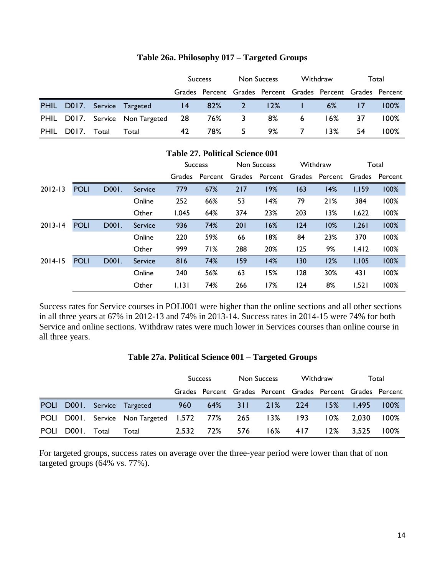|             |             |                                    | <b>Success</b> |            | Non Success |                                                             | Withdraw                   |        | Total     |         |
|-------------|-------------|------------------------------------|----------------|------------|-------------|-------------------------------------------------------------|----------------------------|--------|-----------|---------|
|             |             |                                    |                |            |             | Grades Percent Grades Percent Grades Percent Grades Percent |                            |        |           |         |
|             |             | PHIL D017. Service Targeted        |                | $14$ 82% 2 |             | 12%                                                         | and the state of the state | 6%     | <b>TZ</b> | $100\%$ |
|             |             | PHIL D017. Service Non Targeted 28 |                |            | 76% 3       | 8%                                                          | 6                          | $16\%$ | 37        | $100\%$ |
| <b>PHIL</b> | D017. Total | Total                              | 42             | 78%        | 5.          |                                                             | 9% 7                       | $13\%$ | 54        | 100%    |

### **Table 26a. Philosophy 017 – Targeted Groups**

|             | <b>Table 27. Political Science 001</b> |       |                |                |         |     |                |        |          |       |                |  |
|-------------|----------------------------------------|-------|----------------|----------------|---------|-----|----------------|--------|----------|-------|----------------|--|
|             |                                        |       |                | <b>Success</b> |         |     | Non Success    |        | Withdraw | Total |                |  |
|             |                                        |       |                | <b>Grades</b>  | Percent |     | Grades Percent | Grades | Percent  |       | Grades Percent |  |
| $2012 - 13$ | <b>POLI</b>                            | D001. | Service        | 779            | 67%     | 217 | 19%            | 163    | 14%      | 1,159 | 100%           |  |
|             |                                        |       | Online         | 252            | 66%     | 53  | 14%            | 79     | 21%      | 384   | 100%           |  |
|             |                                        |       | Other          | 1,045          | 64%     | 374 | 23%            | 203    | 13%      | 1,622 | 100%           |  |
| $2013 - 14$ | <b>POLI</b>                            | D001. | <b>Service</b> | 936            | 74%     | 201 | 16%            | 124    | 10%      | 1,261 | 100%           |  |
|             |                                        |       | Online         | 220            | 59%     | 66  | 18%            | 84     | 23%      | 370   | 100%           |  |
|             |                                        |       | Other          | 999            | 71%     | 288 | 20%            | 125    | 9%       | 1,412 | 100%           |  |
| $2014 - 15$ | <b>POLI</b>                            | D001. | <b>Service</b> | 816            | 74%     | 159 | 14%            | 130    | 12%      | 1,105 | 100%           |  |
|             |                                        |       | Online         | 240            | 56%     | 63  | 15%            | 128    | 30%      | 431   | 100%           |  |
|             |                                        |       | Other          | 1,131          | 74%     | 266 | 17%            | 124    | 8%       | 1,521 | 100%           |  |

Success rates for Service courses in POLI001 were higher than the online sections and all other sections in all three years at 67% in 2012-13 and 74% in 2013-14. Success rates in 2014-15 were 74% for both Service and online sections. Withdraw rates were much lower in Services courses than online course in all three years.

# **Table 27a. Political Science 001 – Targeted Groups**

|      |             |                                                       | <b>Success</b> |     | Non Success |                                                             | Withdraw |       | Total     |         |
|------|-------------|-------------------------------------------------------|----------------|-----|-------------|-------------------------------------------------------------|----------|-------|-----------|---------|
|      |             |                                                       |                |     |             | Grades Percent Grades Percent Grades Percent Grades Percent |          |       |           |         |
|      |             | POLI D001. Service Targeted                           | 960 —          |     |             | 64% 311 21% 224                                             |          |       | 15% 1.495 | $100\%$ |
|      |             | POLI D001. Service Non-Targeted 1,572 77% 265 13% 193 |                |     |             |                                                             |          | 10% l | 2.030     | $100\%$ |
| POLI | D001. Total | Total                                                 | 2.532          | 72% | 576         | $16\%$ 417                                                  |          | 12%   | 3.525     | $100\%$ |

For targeted groups, success rates on average over the three-year period were lower than that of non targeted groups (64% vs. 77%).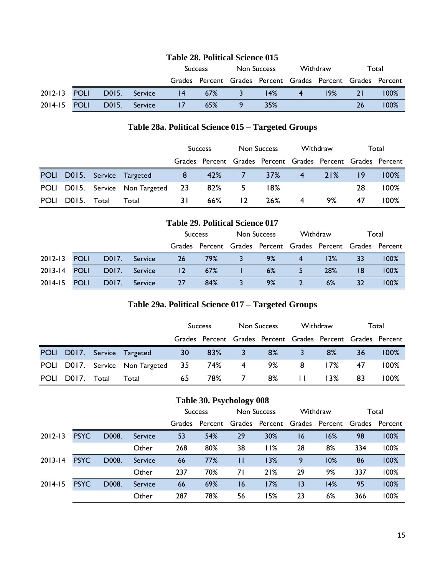| <b>Table 28. Political Science 015</b> |  |                    |         |   |                                                             |  |             |   |          |           |      |
|----------------------------------------|--|--------------------|---------|---|-------------------------------------------------------------|--|-------------|---|----------|-----------|------|
|                                        |  |                    |         |   | <b>Success</b>                                              |  | Non Success |   | Withdraw | Total     |      |
|                                        |  |                    |         |   | Grades Percent Grades Percent Grades Percent Grades Percent |  |             |   |          |           |      |
| 2012-13 POLI                           |  | D015.              | Service | 4 | 67%                                                         |  | l 4%        | 4 | 19%      | <b>21</b> | 100% |
| 2014-15 POLI                           |  | D <sub>0</sub> 15. | Service |   | 65%                                                         |  | 35%         |   |          | 26        | 100% |

# **Table 28a. Political Science 015 – Targeted Groups**

|             |             |                                    | <b>Success</b> |        | Non Success |                                                             | Withdraw       |     | Total |         |
|-------------|-------------|------------------------------------|----------------|--------|-------------|-------------------------------------------------------------|----------------|-----|-------|---------|
|             |             |                                    |                |        |             | Grades Percent Grades Percent Grades Percent Grades Percent |                |     |       |         |
|             |             | POLI D015. Service Targeted        | 8              | 42% 7  |             | 37%                                                         | $\overline{4}$ | 21% |       | $100\%$ |
|             |             | POLI D015. Service Non Targeted 23 |                | 82%    | -5.         | 18%                                                         |                |     | 28    | $100\%$ |
| <b>POLI</b> | D015. Total | Total                              | 3 I            | $66\%$ | 12          | 26%                                                         | 4              | 9%  | 47    | 100%    |

# **Table 29. Political Science 017**

|              |             |       |         | <b>Success</b> |                                                             | Non Success |    | Withdraw |     | Total |         |
|--------------|-------------|-------|---------|----------------|-------------------------------------------------------------|-------------|----|----------|-----|-------|---------|
|              |             |       |         |                | Grades Percent Grades Percent Grades Percent Grades Percent |             |    |          |     |       |         |
| 2012-13      | <b>POLI</b> | D017. | Service | 26             | 79%                                                         |             | 9% | 4        | 12% | 33    | 100%    |
| 2013-14 POLI |             | D017. | Service | $\overline{2}$ | 67%                                                         |             | 6% |          | 28% | 18    | $100\%$ |
| 2014-15      | <b>POLI</b> | D017. | Service | 27             | 84%                                                         |             | 9% |          | 6%  | 32    | 100%    |

# **Table 29a. Political Science 017 – Targeted Groups**

|             |       |       |                                    | <b>Success</b> |        | Non Success |                                                             | Withdraw       |        | Total |         |
|-------------|-------|-------|------------------------------------|----------------|--------|-------------|-------------------------------------------------------------|----------------|--------|-------|---------|
|             |       |       |                                    |                |        |             | Grades Percent Grades Percent Grades Percent Grades Percent |                |        |       |         |
|             |       |       | POLI D017. Service Targeted        | 30             | $83\%$ | $\sim$ 3    | 8%                                                          | $\blacksquare$ | 8%     | 36    | 100%    |
|             |       |       | POLI D017. Service Non Targeted 35 |                | 74%    | $-4$        | 9%                                                          | 8              | $17\%$ | 47    | $100\%$ |
| <b>POLI</b> | D017. | Total | Total                              | 65             | 78%.   | 7           | 8%                                                          | $\mathbf{H}$   | $13\%$ | 83    | 100%    |

## **Table 30. Psychology 008**

|             |             |       |         |                                                             | <b>Success</b> | Non Success |     | Withdraw |     | Total |      |
|-------------|-------------|-------|---------|-------------------------------------------------------------|----------------|-------------|-----|----------|-----|-------|------|
|             |             |       |         | Grades Percent Grades Percent Grades Percent Grades Percent |                |             |     |          |     |       |      |
| $2012 - 13$ | <b>PSYC</b> | D008. | Service | 53                                                          | 54%            | 29          | 30% | 16       | 16% | 98    | 100% |
|             |             |       | Other   | 268                                                         | 80%            | 38          | 11% | 28       | 8%  | 334   | 100% |
| $2013 - 14$ | <b>PSYC</b> | D008. | Service | 66                                                          | 77%            |             | 13% | 9        | 10% | 86    | 100% |
|             |             |       | Other   | 237                                                         | 70%            | 71          | 21% | 29       | 9%  | 337   | 100% |
| $2014 - 15$ | <b>PSYC</b> | D008. | Service | 66                                                          | 69%            | 16          | 17% | 13       | 14% | 95    | 100% |
|             |             |       | Other   | 287                                                         | 78%            | 56          | 15% | 23       | 6%  | 366   | 100% |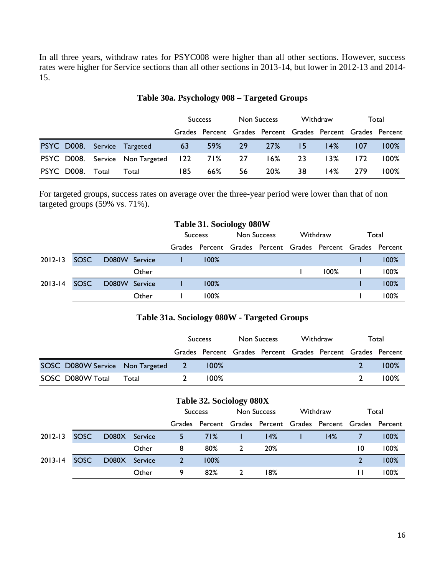In all three years, withdraw rates for PSYC008 were higher than all other sections. However, success rates were higher for Service sections than all other sections in 2013-14, but lower in 2012-13 and 2014- 15.

|                  |                                            | <b>Success</b> |        | Non Success |                                                             | Withdraw |      | Total |         |
|------------------|--------------------------------------------|----------------|--------|-------------|-------------------------------------------------------------|----------|------|-------|---------|
|                  |                                            |                |        |             | Grades Percent Grades Percent Grades Percent Grades Percent |          |      |       |         |
|                  | PSYC D008. Service Targeted                | 63             | 59% 29 |             | 27%                                                         | -15      | 14%  | 107   | $100\%$ |
|                  | PSYC D008. Service Non Targeted 122 71% 27 |                |        |             | $16\%$                                                      | -23      | 13%  | 172   | $100\%$ |
| PSYC D008. Total | Total                                      | 185            | 66%    | 56          | 20%                                                         | 38       | l 4% | -279  | 100%    |

# **Table 30a. Psychology 008 – Targeted Groups**

For targeted groups, success rates on average over the three-year period were lower than that of non targeted groups (59% vs. 71%).

| <b>Table 31. Sociology 080W</b> |      |               |       |                |                                                             |             |  |          |         |       |      |
|---------------------------------|------|---------------|-------|----------------|-------------------------------------------------------------|-------------|--|----------|---------|-------|------|
|                                 |      |               |       | <b>Success</b> |                                                             | Non Success |  | Withdraw |         | Total |      |
|                                 |      |               |       |                | Grades Percent Grades Percent Grades Percent Grades Percent |             |  |          |         |       |      |
| $2012 - 13$                     | SOSC | D080W Service |       |                | 100%                                                        |             |  |          |         |       | 100% |
|                                 |      |               | Other |                |                                                             |             |  |          | $100\%$ |       | 100% |
| $2013 - 14$                     | SOSC | D080W Service |       |                | 100%                                                        |             |  |          |         |       | 100% |
|                                 |      |               | Other |                | 100%                                                        |             |  |          |         |       | 100% |

### **Table 31a. Sociology 080W - Targeted Groups**

|                                   |       | <b>Success</b> |                                                             | Non Success |  | Withdraw |  | Total |         |
|-----------------------------------|-------|----------------|-------------------------------------------------------------|-------------|--|----------|--|-------|---------|
|                                   |       |                | Grades Percent Grades Percent Grades Percent Grades Percent |             |  |          |  |       |         |
| SOSC D080W Service Non Targeted 2 |       |                | $100\%$                                                     |             |  |          |  |       | 100%    |
| SOSC D080W Total                  | Total | $\mathcal{L}$  | 100%                                                        |             |  |          |  |       | $100\%$ |

### **Table 32. Sociology 080X**

|              |             |               |       | <b>Success</b>                                              |      | Non Success |     | Withdraw |     | Total |      |
|--------------|-------------|---------------|-------|-------------------------------------------------------------|------|-------------|-----|----------|-----|-------|------|
|              |             |               |       | Grades Percent Grades Percent Grades Percent Grades Percent |      |             |     |          |     |       |      |
| $2012 - 13$  | <b>SOSC</b> | D080X Service |       | -57                                                         | 71%  |             | 14% |          | 14% |       | 100% |
|              |             |               | Other | 8                                                           | 80%  | 2           | 20% |          |     | 10    | 100% |
| 2013-14 SOSC |             | D080X Service |       | 2                                                           | 100% |             |     |          |     |       | 100% |
|              |             |               | Other | 9                                                           | 82%  |             | 18% |          |     |       | 100% |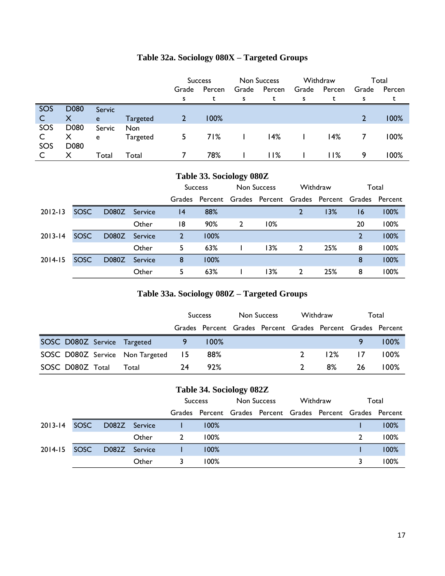|     |      |        |            | Non Success<br><b>Success</b> |      | Withdraw |        | Total |        |       |        |
|-----|------|--------|------------|-------------------------------|------|----------|--------|-------|--------|-------|--------|
|     |      |        |            | Grade<br>Percen               |      | Grade    | Percen | Grade | Percen | Grade | Percen |
|     |      |        |            | s                             |      | s        |        | S     |        | S     |        |
| SOS | D080 | Servic |            |                               |      |          |        |       |        |       |        |
|     | X    | e      | Targeted   |                               | 100% |          |        |       |        | 2     | 100%   |
| SOS | D080 | Servic | <b>Non</b> |                               |      |          |        |       |        |       |        |
|     | Х    | e      | Targeted   |                               | 71%  |          | 14%    |       | 14%    |       | 100%   |
| SOS | D080 |        |            |                               |      |          |        |       |        |       |        |
|     | X    | Total  | Total      |                               | 78%  |          | 11%    |       | 11%    | 9     | 100%   |

# **Table 32a. Sociology 080X – Targeted Groups**

| Table 33. Sociology 080Z |             |       |         |                               |                                                             |          |        |                |     |                |      |
|--------------------------|-------------|-------|---------|-------------------------------|-------------------------------------------------------------|----------|--------|----------------|-----|----------------|------|
|                          |             |       |         | Non Success<br><b>Success</b> |                                                             | Withdraw |        | Total          |     |                |      |
|                          |             |       |         |                               | Grades Percent Grades Percent Grades Percent Grades Percent |          |        |                |     |                |      |
| $2012 - 13$              | SOSC        | D080Z | Service | 4                             | 88%                                                         |          |        | 2              | 13% | 16             | 100% |
|                          |             |       | Other   | 18                            | 90%                                                         | 2        | $10\%$ |                |     | 20             | 100% |
| $2013 - 14$              | SOSC        | D080Z | Service | $\overline{2}$                | 100%                                                        |          |        |                |     | $\overline{2}$ | 100% |
|                          |             |       | Other   | 5                             | 63%                                                         |          | 13%    | $\overline{2}$ | 25% | 8              | 100% |
| $2014 - 15$              | <b>SOSC</b> | D080Z | Service | 8                             | 100%                                                        |          |        |                |     | 8              | 100% |
|                          |             |       | Other   | 5                             | 63%                                                         |          | 13%    | $\overline{2}$ | 25% | 8              | 100% |

# **Table 33a. Sociology 080Z – Targeted Groups**

|                  |                                    | <b>Success</b> |                                                             | Non Success |  | Withdraw      |     | Total |         |
|------------------|------------------------------------|----------------|-------------------------------------------------------------|-------------|--|---------------|-----|-------|---------|
|                  |                                    |                | Grades Percent Grades Percent Grades Percent Grades Percent |             |  |               |     |       |         |
|                  | SOSC D080Z Service Targeted        |                | $100\%$                                                     |             |  |               |     |       | $100\%$ |
|                  | SOSC D080Z Service Non Targeted 15 |                | 88%                                                         |             |  | $\mathcal{L}$ | 12% | 17    | $100\%$ |
| SOSC D080Z Total | Total                              | 24             | 92%                                                         |             |  |               | 8%  | 26    | $100\%$ |

# **Table 34. Sociology 082Z**

|              |               |       |   | <b>Success</b>                                              | Non Success |  | Withdraw |  | Total |      |
|--------------|---------------|-------|---|-------------------------------------------------------------|-------------|--|----------|--|-------|------|
|              |               |       |   | Grades Percent Grades Percent Grades Percent Grades Percent |             |  |          |  |       |      |
| 2013-14 SOSC | D082Z Service |       |   | $100\%$                                                     |             |  |          |  |       | 100% |
|              |               | Other | 2 | $100\%$                                                     |             |  |          |  |       | 100% |
| 2014-15 SOSC | D082Z Service |       |   | 100%                                                        |             |  |          |  |       | 100% |
|              |               | Other |   | $100\%$                                                     |             |  |          |  |       | 100% |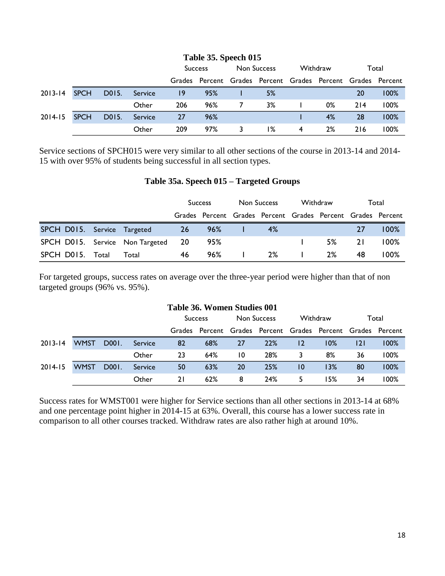|             |             |       |         |                | Table 35. Speech 015                                        |             |    |          |    |       |      |
|-------------|-------------|-------|---------|----------------|-------------------------------------------------------------|-------------|----|----------|----|-------|------|
|             |             |       |         | <b>Success</b> |                                                             | Non Success |    | Withdraw |    | Total |      |
|             |             |       |         |                | Grades Percent Grades Percent Grades Percent Grades Percent |             |    |          |    |       |      |
| $2013 - 14$ | <b>SPCH</b> | D015. | Service | 19             | 95%                                                         |             | 5% |          |    | 20    | 100% |
|             |             |       | Other   | 206            | 96%                                                         |             | 3% |          | 0% | 214   | 100% |
| $2014 - 15$ | <b>SPCH</b> | D015. | Service | 27             | 96%                                                         |             |    |          | 4% | 28    | 100% |
|             |             |       | Other   | 209            | 97%                                                         |             | 1% | 4        | 2% | 216   | 100% |

Service sections of SPCH015 were very similar to all other sections of the course in 2013-14 and 2014- 15 with over 95% of students being successful in all section types.

### **Table 35a. Speech 015 – Targeted Groups**

|                                    |       | <b>Success</b> |                                                             | Non Success |    | Withdraw |    | Total     |         |
|------------------------------------|-------|----------------|-------------------------------------------------------------|-------------|----|----------|----|-----------|---------|
|                                    |       |                | Grades Percent Grades Percent Grades Percent Grades Percent |             |    |          |    |           |         |
| SPCH D015. Service Targeted        |       | 26             | 96%                                                         |             | 4% |          |    | 27        | $100\%$ |
| SPCH D015. Service Non Targeted 20 |       |                | 95%                                                         |             |    |          | 5% | <b>21</b> | $100\%$ |
| SPCH D015. Total                   | Total | 46             | 96%                                                         |             | 2% |          | 2% | 48        | 100%    |

For targeted groups, success rates on average over the three-year period were higher than that of non targeted groups (96% vs. 95%).

#### **Table 36. Women Studies 001**

|             |             |       |         | <b>Success</b> |     | Non Success |                                                             | Withdraw |     | Total |      |
|-------------|-------------|-------|---------|----------------|-----|-------------|-------------------------------------------------------------|----------|-----|-------|------|
|             |             |       |         |                |     |             | Grades Percent Grades Percent Grades Percent Grades Percent |          |     |       |      |
| $2013 - 14$ | <b>WMST</b> | D001. | Service | 82             | 68% | 27          | 22%                                                         | 12       | 10% | 2     | 100% |
|             |             |       | Other   | 23             | 64% | 10          | 28%                                                         |          | 8%  | 36    | 100% |
| $2014 - 15$ | <b>WMST</b> | D001. | Service | 50             | 63% | 20          | 25%                                                         | 10       | 13% | 80    | 100% |
|             |             |       | Other   | 21             | 62% | 8           | 24%                                                         | 5        | 15% | 34    | 100% |

Success rates for WMST001 were higher for Service sections than all other sections in 2013-14 at 68% and one percentage point higher in 2014-15 at 63%. Overall, this course has a lower success rate in comparison to all other courses tracked. Withdraw rates are also rather high at around 10%.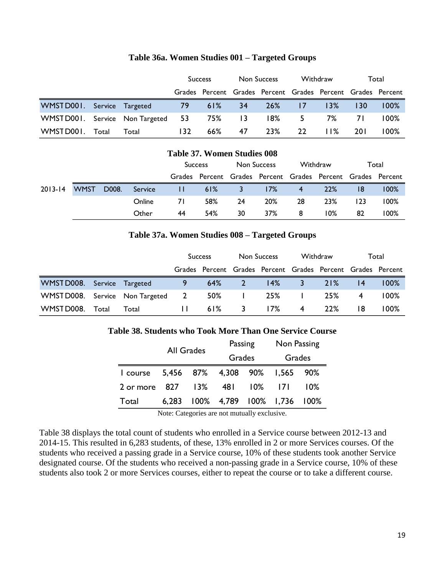|                                    |       |       | <b>Success</b> |           | Non Success |                                                             | Withdraw |               | Total |         |
|------------------------------------|-------|-------|----------------|-----------|-------------|-------------------------------------------------------------|----------|---------------|-------|---------|
|                                    |       |       |                |           |             | Grades Percent Grades Percent Grades Percent Grades Percent |          |               |       |         |
| WMSTD001. Service Targeted         |       |       | 79             | $61\%$ 34 |             |                                                             | 26% 17   | $\sqrt{13\%}$ | 130   | $100\%$ |
| WMST D001. Service Non Targeted 53 |       |       |                | 75% 13    |             |                                                             |          | $18\%$ 5 7%   | 7 I   | $100\%$ |
| WMSTD001.                          | Total | Total | 132            | 66%       | 47          | 23%                                                         | -22      | 11%           | 20 I  | 100%    |

#### **Table 36a. Women Studies 001 – Targeted Groups**

| <b>Table 37. Women Studies 008</b> |             |       |         |                |     |             |     |          |                                                             |       |      |
|------------------------------------|-------------|-------|---------|----------------|-----|-------------|-----|----------|-------------------------------------------------------------|-------|------|
|                                    |             |       |         | <b>Success</b> |     | Non Success |     | Withdraw |                                                             | Total |      |
|                                    |             |       |         |                |     |             |     |          | Grades Percent Grades Percent Grades Percent Grades Percent |       |      |
| $2013 - 14$                        | <b>WMST</b> | D008. | Service |                | 61% | 3.          | 17% | 4        | 22%                                                         | 18    | 100% |
|                                    |             |       | Online  | 71             | 58% | 24          | 20% | 28       | 23%                                                         | 123   | 100% |
|                                    |             |       | Other   | 44             | 54% | 30          | 37% | 8        | 10%                                                         | 82    | 100% |

### **Table 37a. Women Studies 008 – Targeted Groups**

|                                   |       |       | <b>Success</b> |     | Non Success |                                                             | Withdraw     |            | Total |         |
|-----------------------------------|-------|-------|----------------|-----|-------------|-------------------------------------------------------------|--------------|------------|-------|---------|
|                                   |       |       |                |     |             | Grades Percent Grades Percent Grades Percent Grades Percent |              |            |       |         |
| WMST D008. Service Targeted       |       |       | 9.             | 64% | $\sqrt{2}$  | 14%                                                         | $\mathbf{3}$ | 21%        | 4     | $100\%$ |
| WMST D008. Service Non Targeted 2 |       |       |                | 50% |             | 25%                                                         |              | 25%        | 4     | 100%    |
| WMST D008.                        | Total | Total | $\mathbf{H}$   | 61% | -3          | 17%                                                         | 4            | <b>22%</b> | 18    | 100%    |

#### **Table 38. Students who Took More Than One Service Course**

|                                        | <b>All Grades</b> |                                  | Passing | Non Passing |     |  |
|----------------------------------------|-------------------|----------------------------------|---------|-------------|-----|--|
|                                        |                   | Grades                           |         | Grades      |     |  |
| 1 course 5,456 87% 4,308 90% 1,565 90% |                   |                                  |         |             |     |  |
| 2 or more                              | 827 13%           | 48 I                             | $10\%$  | 7           | 10% |  |
| Total                                  |                   | 6,283 100% 4,789 100% 1,736 100% |         |             |     |  |

Note: Categories are not mutually exclusive.

Table 38 displays the total count of students who enrolled in a Service course between 2012-13 and 2014-15. This resulted in 6,283 students, of these, 13% enrolled in 2 or more Services courses. Of the students who received a passing grade in a Service course, 10% of these students took another Service designated course. Of the students who received a non-passing grade in a Service course, 10% of these students also took 2 or more Services courses, either to repeat the course or to take a different course.